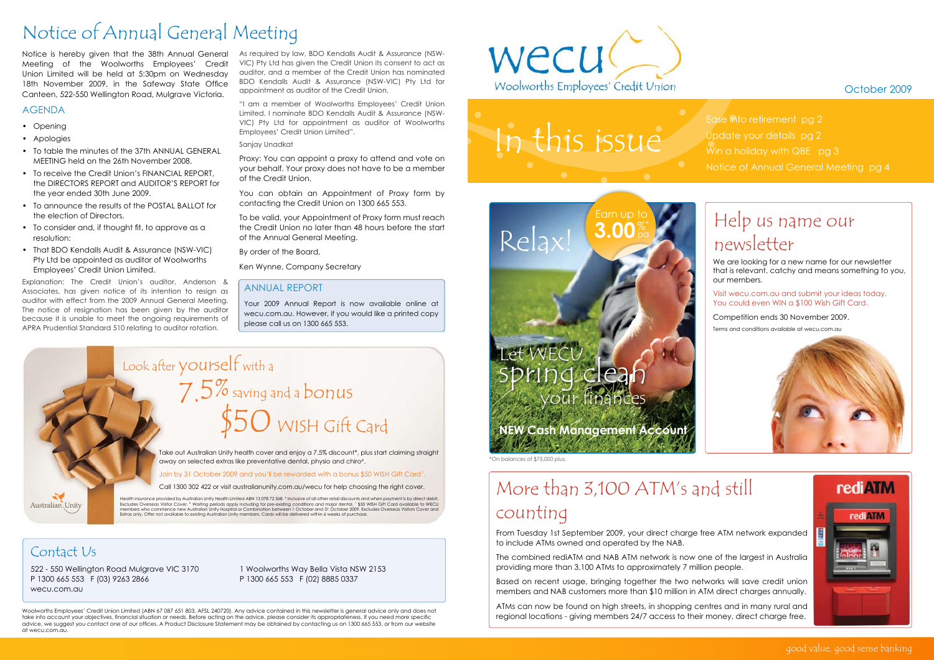#### good value, good sense banking

Woolworths Employees' Credit Union Limited (ABN 67 087 651 803, AFSL 240720). Any advice contained in this newsletter is general advice only and does not take into account your objectives, financial situation or needs. Before acting on the advice, please consider its appropriateness. If you need more specific advice, we suggest you contact one of our offices. A Product Disclosure Statement may be obtained by contacting us on 1300 665 553, or from our website at wecu.com.au.



#### Contact Us

Australian Unity

522 - 550 Wellington Road Mulgrave VIC 3170 P 1300 665 553 F (03) 9263 2866 wecu.com.au

1 Woolworths Way Bella Vista NSW 2153 P 1300 665 553 F (02) 8885 0337

As required by law, BDO Kendalls Audit & Assurance (NSW-VIC) Pty Ltd has given the Credit Union its consent to act as auditor, and a member of the Credit Union has nominated BDO Kendalls Audit & Assurance (NSW-VIC) Pty Ltd for appointment as auditor of the Credit Union.

> Visit wecu.com.au and submit your ideas today. You could even WIN a \$100 Wish Gift Card.

Competition ends 30 November 2009.

"I am a member of Woolworths Employees' Credit Union Limited. I nominate BDO Kendalls Audit & Assurance (NSW-VIC) Pty Ltd for appointment as auditor of Woolworths Employees' Credit Union Limited".

Sanjay Unadkat

Proxy: You can appoint a proxy to attend and vote on your behalf. Your proxy does not have to be a member of the Credit Union.

You can obtain an Appointment of Proxy form by contacting the Credit Union on 1300 665 553.

To be valid, your Appointment of Proxy form must reach the Credit Union no later than 48 hours before the start of the Annual General Meeting.

By order of the Board,

Ken Wynne, Company Secretary

## Notice of Annual General Meeting

#### Annual Report

Your 2009 Annual Report is now available online at wecu.com.au. However, if you would like a printed copy please call us on 1300 665 553.

#### October 2009

# In this issue

ng clear

Relax!

## **NEW Cash Management Account**

Earn up to

**3.00** %\*

We are looking for a new name for our newsletter that is relevant, catchy and means something to you, our members.

Take out Australian Unity health cover and enjoy a 7.5% discount\*, plus start claiming straight away on selected extras like preventative dental, physio and chiro#.

Join by 31 October 2009 and you'll be rewarded with a bonus \$50 WISH Gift Card^.

Terms and conditions available at wecu.com.au





## Help us name our newsletter

From Tuesday 1st September 2009, your direct charge free ATM network expanded to include ATMs owned and operated by the NAB.

The combined rediATM and NAB ATM network is now one of the largest in Australia providing more than 3,100 ATMs to approximately 7 million people.

Based on recent usage, bringing together the two networks will save credit union members and NAB customers more than \$10 million in ATM direct charges annually.

ATMs can now be found on high streets, in shopping centres and in many rural and regional locations - giving members 24/7 access to their money, direct charge free.

## More than 3,100 ATM's and still counting

Ease into retirement pg 2

Update your details pg 2

Win a holiday with QBE pg 3

Notice of Annual General Meeting pg 4

Notice is hereby given that the 38th Annual General Meeting of the Woolworths Employees' Credit Union Limited will be held at 5:30pm on Wednesday 18th November 2009, in the Safeway State Office Canteen, 522-550 Wellington Road, Mulgrave Victoria.

#### **AGENDA**

- Opening
- Apologies
- To table the minutes of the 37th ANNUAL GENERAL MEETING held on the 26th November 2008.
- To receive the Credit Union's FINANCIAL REPORT, the DIRECTORS REPORT and AUDITOR'S REPORT for the year ended 30th June 2009.
- To announce the results of the POSTAL BALLOT for the election of Directors.
- To consider and, if thought fit, to approve as a resolution:
- That BDO Kendalls Audit & Assurance (NSW-VIC) Pty Ltd be appointed as auditor of Woolworths Employees' Credit Union Limited.

Explanation: The Credit Union's auditor, Anderson & Associates, has given notice of its intention to resign as auditor with effect from the 2009 Annual General Meeting. The notice of resignation has been given by the auditor because it is unable to meet the ongoing requirements of APRA Prudential Standard 510 relating to auditor rotation.

Call 1300 302 422 or visit australianunity.com.au/wecu for help choosing the right cover.

Health insurance provided by Australian Unity Health Limited ABN 13 078 72 568. \* Inclusive of all other retail discounts and when payment is by direct debit.<br>Excludes Overseas Visitor Cover. " Waiting periods apply includ

# Look after yourself with a \$50 WISH Gift Card 7.5% saving and a bonus

\*On balances of \$75,000 plus.